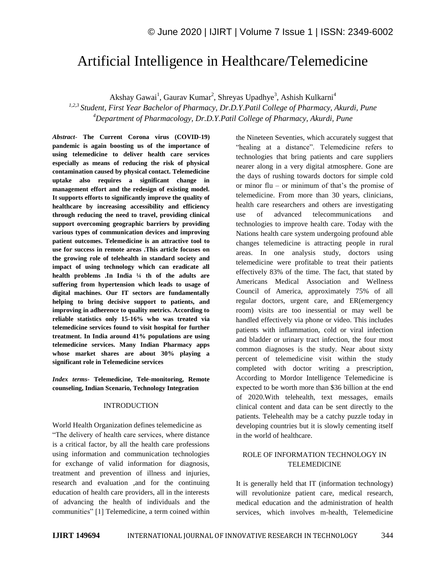# Artificial Intelligence in Healthcare/Telemedicine

Akshay Gawai<sup>1</sup>, Gaurav Kumar<sup>2</sup>, Shreyas Upadhye<sup>3</sup>, Ashish Kulkarni<sup>4</sup>

*1,2,3 Student, First Year Bachelor of Pharmacy, Dr.D.Y.Patil College of Pharmacy, Akurdi, Pune <sup>4</sup>Department of Pharmacology, Dr.D.Y.Patil College of Pharmacy, Akurdi, Pune*

*Abstract*- **The Current Corona virus (COVID-19) pandemic is again boosting us of the importance of using telemedicine to deliver health care services especially as means of reducing the risk of physical contamination caused by physical contact. Telemedicine uptake also requires a significant change in management effort and the redesign of existing model. It supports efforts to significantly improve the quality of healthcare by increasing accessibility and efficiency through reducing the need to travel, providing clinical support overcoming geographic barriers by providing various types of communication devices and improving patient outcomes. Telemedicine is an attractive tool to use for success in remote areas .This article focuses on the growing role of telehealth in standard society and impact of using technology which can eradicate all health problems .In India ¼ th of the adults are suffering from hypertension which leads to usage of digital machines. Our IT sectors are fundamentally helping to bring decisive support to patients, and improving in adherence to quality metrics. According to reliable statistics only 15-16% who was treated via telemedicine services found to visit hospital for further treatment. In India around 41% populations are using telemedicine services. Many Indian Pharmacy apps whose market shares are about 30% playing a significant role in Telemedicine services**

*Index terms***- Telemedicine, Tele-monitoring, Remote counseling, Indian Scenario, Technology Integration**

#### INTRODUCTION

World Health Organization defines telemedicine as "The delivery of health care services, where distance is a critical factor, by all the health care professions using information and communication technologies for exchange of valid information for diagnosis, treatment and prevention of illness and injuries, research and evaluation ,and for the continuing education of health care providers, all in the interests of advancing the health of individuals and the communities" [1] Telemedicine, a term coined within the Nineteen Seventies, which accurately suggest that "healing at a distance". Telemedicine refers to technologies that bring patients and care suppliers nearer along in a very digital atmosphere. Gone are the days of rushing towards doctors for simple cold or minor flu – or minimum of that"s the promise of telemedicine. From more than 30 years, clinicians, health care researchers and others are investigating use of advanced telecommunications and technologies to improve health care. Today with the Nations health care system undergoing profound able changes telemedicine is attracting people in rural areas. In one analysis study, doctors using telemedicine were profitable to treat their patients effectively 83% of the time. The fact, that stated by Americans Medical Association and Wellness Council of America, approximately 75% of all regular doctors, urgent care, and ER(emergency room) visits are too inessential or may well be handled effectively via phone or video. This includes patients with inflammation, cold or viral infection and bladder or urinary tract infection, the four most common diagnoses is the study. Near about sixty percent of telemedicine visit within the study completed with doctor writing a prescription, According to Mordor Intelligence Telemedicine is expected to be worth more than \$36 billion at the end of 2020.With telehealth, text messages, emails clinical content and data can be sent directly to the patients. Telehealth may be a catchy puzzle today in developing countries but it is slowly cementing itself in the world of healthcare.

## ROLE OF INFORMATION TECHNOLOGY IN TELEMEDICINE

It is generally held that IT (information technology) will revolutionize patient care, medical research, medical education and the administration of health services, which involves m-health, Telemedicine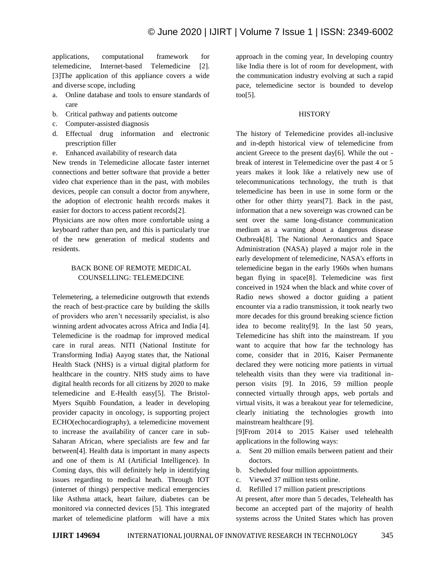applications, computational framework for telemedicine, Internet-based Telemedicine [2]. [3]The application of this appliance covers a wide and diverse scope, including

- a. Online database and tools to ensure standards of care
- b. Critical pathway and patients outcome
- c. Computer-assisted diagnosis
- d. Effectual drug information and electronic prescription filler
- e. Enhanced availability of research data

New trends in Telemedicine allocate faster internet connections and better software that provide a better video chat experience than in the past, with mobiles devices, people can consult a doctor from anywhere, the adoption of electronic health records makes it easier for doctors to access patient records[2].

Physicians are now often more comfortable using a keyboard rather than pen, and this is particularly true of the new generation of medical students and residents.

# BACK BONE OF REMOTE MEDICAL COUNSELLING: TELEMEDCINE

Telemetering, a telemedicine outgrowth that extends the reach of best-practice care by building the skills of providers who aren"t necessarily specialist, is also winning ardent advocates across Africa and India [4]. Telemedicine is the roadmap for improved medical care in rural areas. NITI (National Institute for Transforming India) Aayog states that, the National Health Stack (NHS) is a virtual digital platform for healthcare in the country. NHS study aims to have digital health records for all citizens by 2020 to make telemedicine and E-Health easy[5]. The Bristol-Myers Squibb Foundation, a leader in developing provider capacity in oncology, is supporting project ECHO(echocardiography), a telemedicine movement to increase the availability of cancer care in sub-Saharan African, where specialists are few and far between[4]. Health data is important in many aspects and one of them is AI (Artificial Intelligence). In Coming days, this will definitely help in identifying issues regarding to medical heath. Through IOT (internet of things) perspective medical emergencies like Asthma attack, heart failure, diabetes can be monitored via connected devices [5]. This integrated market of telemedicine platform will have a mix approach in the coming year, In developing country like India there is lot of room for development, with the communication industry evolving at such a rapid pace, telemedicine sector is bounded to develop too[5].

#### **HISTORY**

The history of Telemedicine provides all-inclusive and in-depth historical view of telemedicine from ancient Greece to the present day[6]. While the out break of interest in Telemedicine over the past 4 or 5 years makes it look like a relatively new use of telecommunications technology, the truth is that telemedicine has been in use in some form or the other for other thirty years[7]. Back in the past, information that a new sovereign was crowned can be sent over the same long-distance communication medium as a warning about a dangerous disease Outbreak[8]. The National Aeronautics and Space Administration (NASA) played a major role in the early development of telemedicine, NASA's efforts in telemedicine began in the early 1960s when humans began flying in space[8]. Telemedicine was first conceived in 1924 when the black and white cover of Radio news showed a doctor guiding a patient encounter via a radio transmission, it took nearly two more decades for this ground breaking science fiction idea to become reality[9]. In the last 50 years, Telemedicine has shift into the mainstream. If you want to acquire that how far the technology has come, consider that in 2016, Kaiser Permanente declared they were noticing more patients in virtual telehealth visits than they were via traditional inperson visits [9]. In 2016, 59 million people connected virtually through apps, web portals and virtual visits, it was a breakout year for telemedicine, clearly initiating the technologies growth into mainstream healthcare [9].

[9]From 2014 to 2015 Kaiser used telehealth applications in the following ways:

- a. Sent 20 million emails between patient and their doctors.
- b. Scheduled four million appointments.
- c. Viewed 37 million tests online.
- d. Refilled 17 million patient prescriptions

At present, after more than 5 decades, Telehealth has become an accepted part of the majority of health systems across the United States which has proven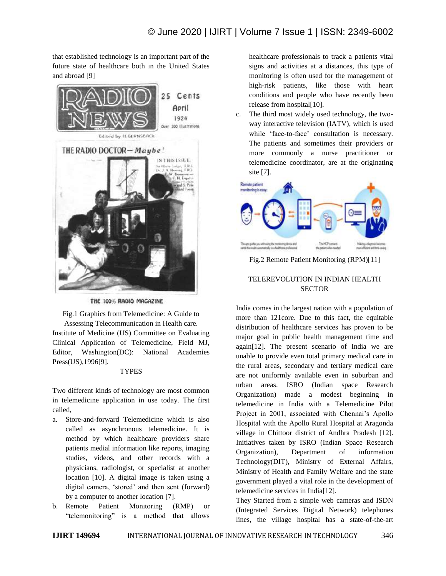that established technology is an important part of the future state of healthcare both in the United States and abroad [9]



THE 100% RADIO MAGAZINE

Fig.1 Graphics from Telemedicine: A Guide to Assessing Telecommunication in Health care.

Institute of Medicine (US) Committee on Evaluating Clinical Application of Telemedicine, Field MJ, Editor, Washington(DC): National Academies Press(US), 1996[9].

#### **TYPES**

Two different kinds of technology are most common in telemedicine application in use today. The first called,

- a. Store-and-forward Telemedicine which is also called as asynchronous telemedicine. It is method by which healthcare providers share patients medial information like reports, imaging studies, videos, and other records with a physicians, radiologist, or specialist at another location [10]. A digital image is taken using a digital camera, "stored" and then sent (forward) by a computer to another location [7].
- b. Remote Patient Monitoring (RMP) or "telemonitoring" is a method that allows

healthcare professionals to track a patients vital signs and activities at a distances, this type of monitoring is often used for the management of high-risk patients, like those with heart conditions and people who have recently been release from hospital[10].

c. The third most widely used technology, the twoway interactive television (IATV), which is used while 'face-to-face' consultation is necessary. The patients and sometimes their providers or more commonly a nurse practitioner or telemedicine coordinator, are at the originating site [7].



Fig.2 Remote Patient Monitoring (RPM)[11]

# TELEREVOLUTION IN INDIAN HEALTH **SECTOR**

India comes in the largest nation with a population of more than 121core. Due to this fact, the equitable distribution of healthcare services has proven to be major goal in public health management time and again[12]. The present scenario of India we are unable to provide even total primary medical care in the rural areas, secondary and tertiary medical care are not uniformly available even in suburban and urban areas. ISRO (Indian space Research Organization) made a modest beginning in telemedicine in India with a Telemedicine Pilot Project in 2001, associated with Chennai's Apollo Hospital with the Apollo Rural Hospital at Aragonda village in Chittoor district of Andhra Pradesh [12]. Initiatives taken by ISRO (Indian Space Research Organization), Department of information Technology(DIT), Ministry of External Affairs, Ministry of Health and Family Welfare and the state government played a vital role in the development of telemedicine services in India[12].

They Started from a simple web cameras and ISDN (Integrated Services Digital Network) telephones lines, the village hospital has a state-of-the-art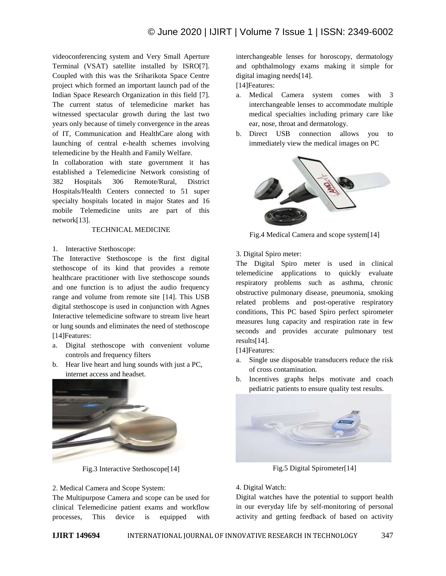videoconferencing system and Very Small Aperture Terminal (VSAT) satellite installed by ISRO[7]. Coupled with this was the Sriharikota Space Centre project which formed an important launch pad of the Indian Space Research Organization in this field [7]. The current status of telemedicine market has witnessed spectacular growth during the last two years only because of timely convergence in the areas of IT, Communication and HealthCare along with launching of central e-health schemes involving telemedicine by the Health and Family Welfare.

In collaboration with state government it has established a Telemedicine Network consisting of 382 Hospitals 306 Remote/Rural, District Hospitals/Health Centers connected to 51 super specialty hospitals located in major States and 16 mobile Telemedicine units are part of this network[13].

# TECHNICAL MEDICINE

1. Interactive Stethoscope:

The Interactive Stethoscope is the first digital stethoscope of its kind that provides a remote healthcare practitioner with live stethoscope sounds and one function is to adjust the audio frequency range and volume from remote site [14]. This USB digital stethoscope is used in conjunction with Agnes Interactive telemedicine software to stream live heart or lung sounds and eliminates the need of stethoscope [14]Features:

- a. Digital stethoscope with convenient volume controls and frequency filters
- b. Hear live heart and lung sounds with just a PC, internet access and headset.



Fig.3 Interactive Stethoscope[14]

# 2. Medical Camera and Scope System:

The Multipurpose Camera and scope can be used for clinical Telemedicine patient exams and workflow processes, This device is equipped with interchangeable lenses for horoscopy, dermatology and ophthalmology exams making it simple for digital imaging needs[14].

[14]Features:

- a. Medical Camera system comes with 3 interchangeable lenses to accommodate multiple medical specialties including primary care like ear, nose, throat and dermatology.
- b. Direct USB connection allows you to immediately view the medical images on PC



Fig.4 Medical Camera and scope system[14]

3. Digital Spiro meter:

The Digital Spiro meter is used in clinical telemedicine applications to quickly evaluate respiratory problems such as asthma, chronic obstructive pulmonary disease, pneumonia, smoking related problems and post-operative respiratory conditions, This PC based Spiro perfect spirometer measures lung capacity and respiration rate in few seconds and provides accurate pulmonary test results[14].

[14]Features:

- a. Single use disposable transducers reduce the risk of cross contamination.
- b. Incentives graphs helps motivate and coach pediatric patients to ensure quality test results.



Fig.5 Digital Spirometer[14]

#### 4. Digital Watch:

Digital watches have the potential to support health in our everyday life by self-monitoring of personal activity and getting feedback of based on activity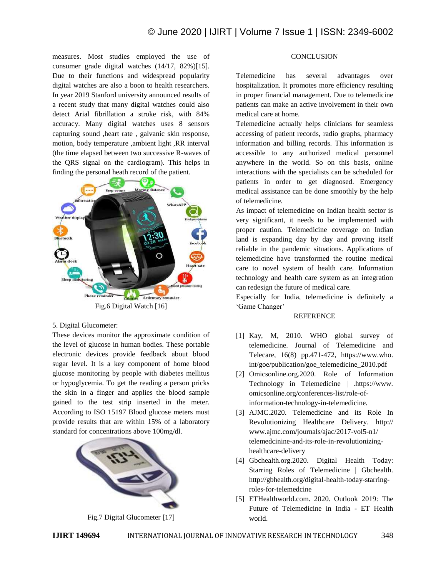measures. Most studies employed the use of consumer grade digital watches (14/17, 82%)[15]. Due to their functions and widespread popularity digital watches are also a boon to health researchers. In year 2019 Stanford university announced results of a recent study that many digital watches could also detect Arial fibrillation a stroke risk, with 84% accuracy. Many digital watches uses 8 sensors capturing sound ,heart rate , galvanic skin response, motion, body temperature ,ambient light ,RR interval (the time elapsed between two successive R-waves of the QRS signal on the cardiogram). This helps in finding the personal heath record of the patient.



Fig.6 Digital Watch [16]

5. Digital Glucometer:

These devices monitor the approximate condition of the level of glucose in human bodies. These portable electronic devices provide feedback about blood sugar level. It is a key component of home blood glucose monitoring by people with diabetes mellitus or hypoglycemia. To get the reading a person pricks the skin in a finger and applies the blood sample gained to the test strip inserted in the meter. According to ISO 15197 Blood glucose meters must provide results that are within 15% of a laboratory standard for concentrations above 100mg/dl.



Fig.7 Digital Glucometer [17]

# **CONCLUSION**

Telemedicine has several advantages over hospitalization. It promotes more efficiency resulting in proper financial management. Due to telemedicine patients can make an active involvement in their own medical care at home.

Telemedicine actually helps clinicians for seamless accessing of patient records, radio graphs, pharmacy information and billing records. This information is accessible to any authorized medical personnel anywhere in the world. So on this basis, online interactions with the specialists can be scheduled for patients in order to get diagnosed. Emergency medical assistance can be done smoothly by the help of telemedicine.

As impact of telemedicine on Indian health sector is very significant, it needs to be implemented with proper caution. Telemedicine coverage on Indian land is expanding day by day and proving itself reliable in the pandemic situations. Applications of telemedicine have transformed the routine medical care to novel system of health care. Information technology and health care system as an integration can redesign the future of medical care.

Especially for India, telemedicine is definitely a 'Game Changer'

#### **REFERENCE**

- [1] Kay, M, 2010. WHO global survey of telemedicine. Journal of Telemedicine and Telecare, 16(8) pp.471-472, https://www.who. int/goe/publication/goe\_telemedicine\_2010.pdf
- [2] Omicsonline.org.2020. Role of Information Technology in Telemedicine | .https://www. omicsonline.org/conferences-list/role-ofinformation-technology-in-telemedicine.
- [3] AJMC.2020. Telemedicine and its Role In Revolutionizing Healthcare Delivery. http:// www.ajmc.com/journals/ajac/2017-vol5-n1/ telemedcinine-and-its-role-in-revolutionizinghealthcare-delivery
- [4] Gbchealth.org.2020. Digital Health Today: Starring Roles of Telemedicine | Gbchealth. http://gbhealth.org/digital-health-today-starringroles-for-telemedcine
- [5] ETHealthworld.com. 2020. Outlook 2019: The Future of Telemedicine in India - ET Health world.